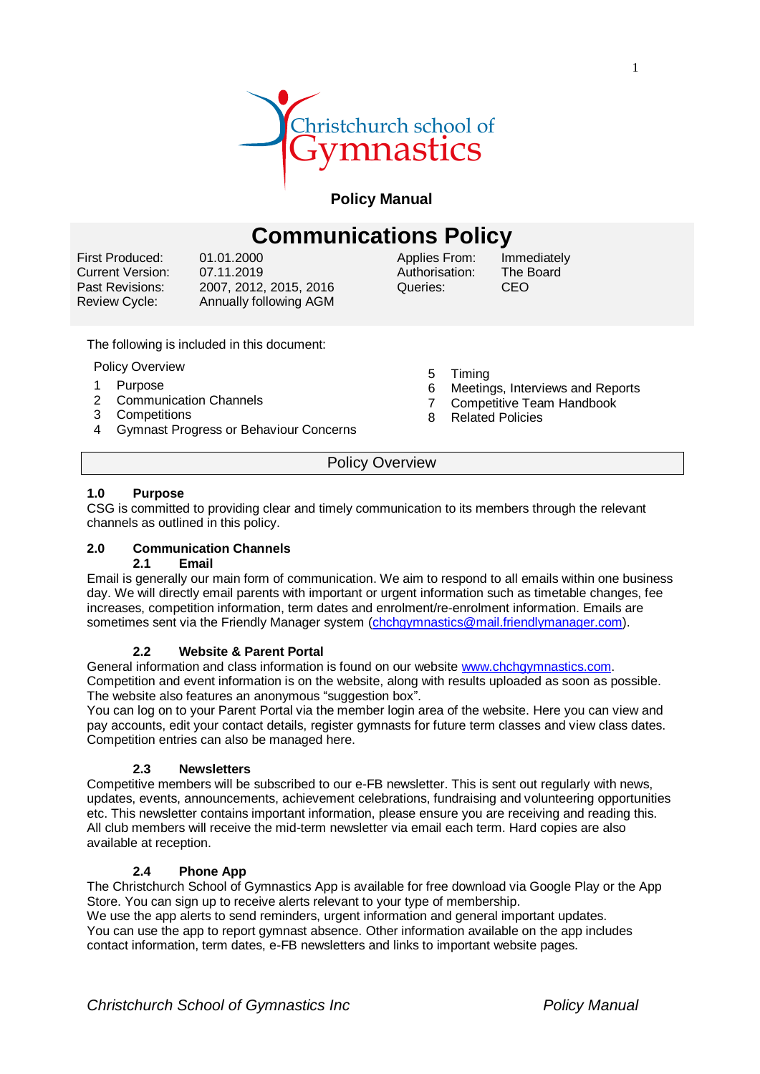

**Policy Manual**

# **Communications Policy**

First Produced: Current Version: Past Revisions: Review Cycle:

01.01.2000 07.11.2019 2007, 2012, 2015, 2016 Annually following AGM Applies From: Authorisation: Queries:

Immediately The Board CEO

- The following is included in this document:
- Policy Overview
- 1 Purpose
- 2 Communication Channels
- 3 Competitions
- 4 Gymnast Progress or Behaviour Concerns
- 5 Timing
- 6 Meetings, Interviews and Reports
- 7 Competitive Team Handbook
- 8 Related Policies

Policy Overview

# **1.0 Purpose**

CSG is committed to providing clear and timely communication to its members through the relevant channels as outlined in this policy.

# **2.0 Communication Channels**

#### **2.1 Email**

Email is generally our main form of communication. We aim to respond to all emails within one business day. We will directly email parents with important or urgent information such as timetable changes, fee increases, competition information, term dates and enrolment/re-enrolment information. Emails are sometimes sent via the Friendly Manager system [\(chchgymnastics@mail.friendlymanager.com\)](mailto:chchgymnastics@mail.friendlymanager.com).

# **2.2 Website & Parent Portal**

General information and class information is found on our website [www.chchgymnastics.com.](http://www.chchgymnastics.com/) Competition and event information is on the website, along with results uploaded as soon as possible. The website also features an anonymous "suggestion box".

You can log on to your Parent Portal via the member login area of the website. Here you can view and pay accounts, edit your contact details, register gymnasts for future term classes and view class dates. Competition entries can also be managed here.

# **2.3 Newsletters**

Competitive members will be subscribed to our e-FB newsletter. This is sent out regularly with news, updates, events, announcements, achievement celebrations, fundraising and volunteering opportunities etc. This newsletter contains important information, please ensure you are receiving and reading this. All club members will receive the mid-term newsletter via email each term. Hard copies are also available at reception.

# **2.4 Phone App**

The Christchurch School of Gymnastics App is available for free download via Google Play or the App Store. You can sign up to receive alerts relevant to your type of membership.

We use the app alerts to send reminders, urgent information and general important updates. You can use the app to report gymnast absence. Other information available on the app includes contact information, term dates, e-FB newsletters and links to important website pages.